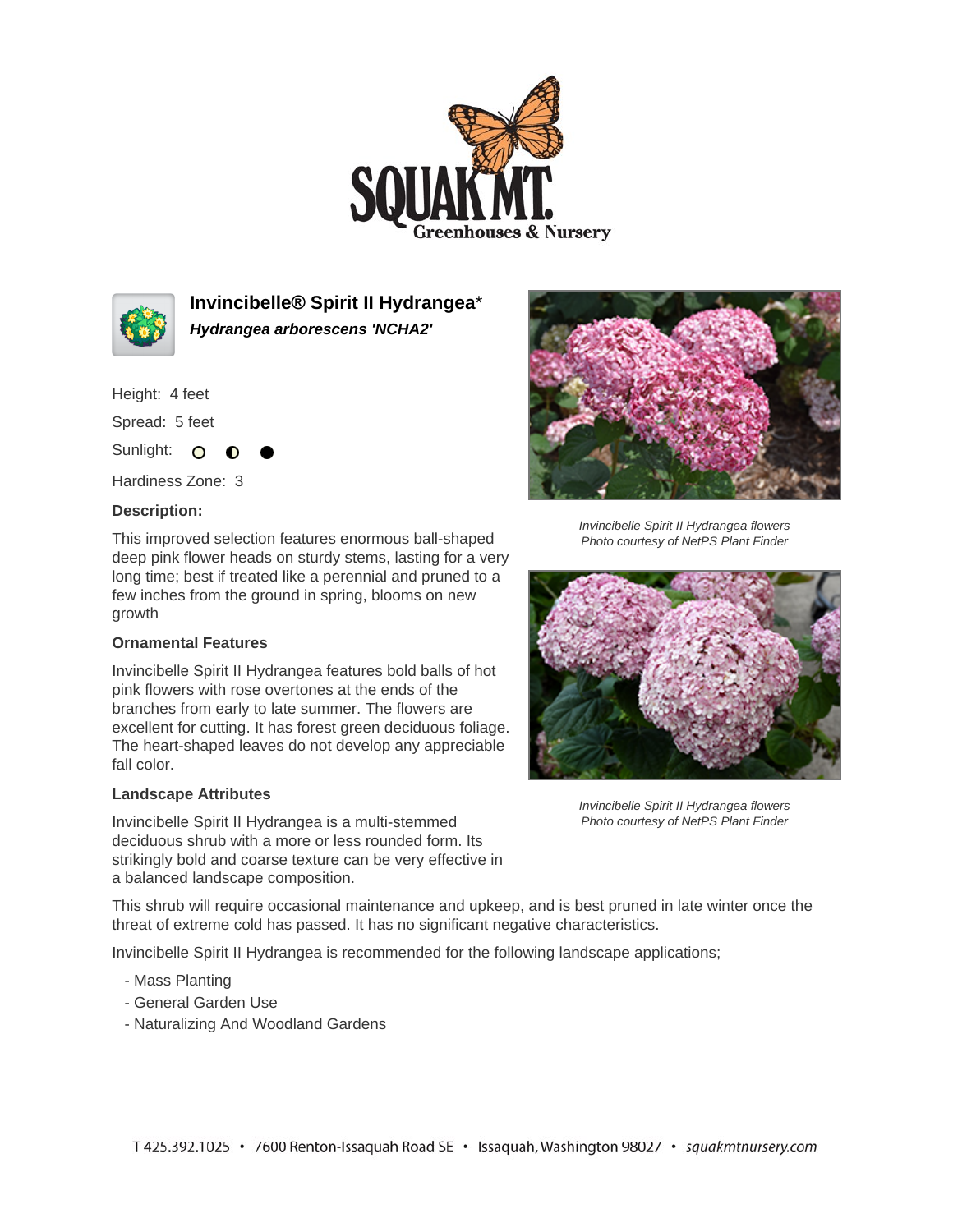



**Invincibelle® Spirit II Hydrangea**\* **Hydrangea arborescens 'NCHA2'**

Height: 4 feet

Spread: 5 feet

Sunlight: O **O** 

Hardiness Zone: 3

## **Description:**

This improved selection features enormous ball-shaped deep pink flower heads on sturdy stems, lasting for a very long time; best if treated like a perennial and pruned to a few inches from the ground in spring, blooms on new growth

## **Ornamental Features**

Invincibelle Spirit II Hydrangea features bold balls of hot pink flowers with rose overtones at the ends of the branches from early to late summer. The flowers are excellent for cutting. It has forest green deciduous foliage. The heart-shaped leaves do not develop any appreciable fall color.

## **Landscape Attributes**

Invincibelle Spirit II Hydrangea is a multi-stemmed deciduous shrub with a more or less rounded form. Its strikingly bold and coarse texture can be very effective in a balanced landscape composition.



Invincibelle Spirit II Hydrangea flowers Photo courtesy of NetPS Plant Finder



Invincibelle Spirit II Hydrangea flowers Photo courtesy of NetPS Plant Finder

This shrub will require occasional maintenance and upkeep, and is best pruned in late winter once the threat of extreme cold has passed. It has no significant negative characteristics.

Invincibelle Spirit II Hydrangea is recommended for the following landscape applications;

- Mass Planting
- General Garden Use
- Naturalizing And Woodland Gardens